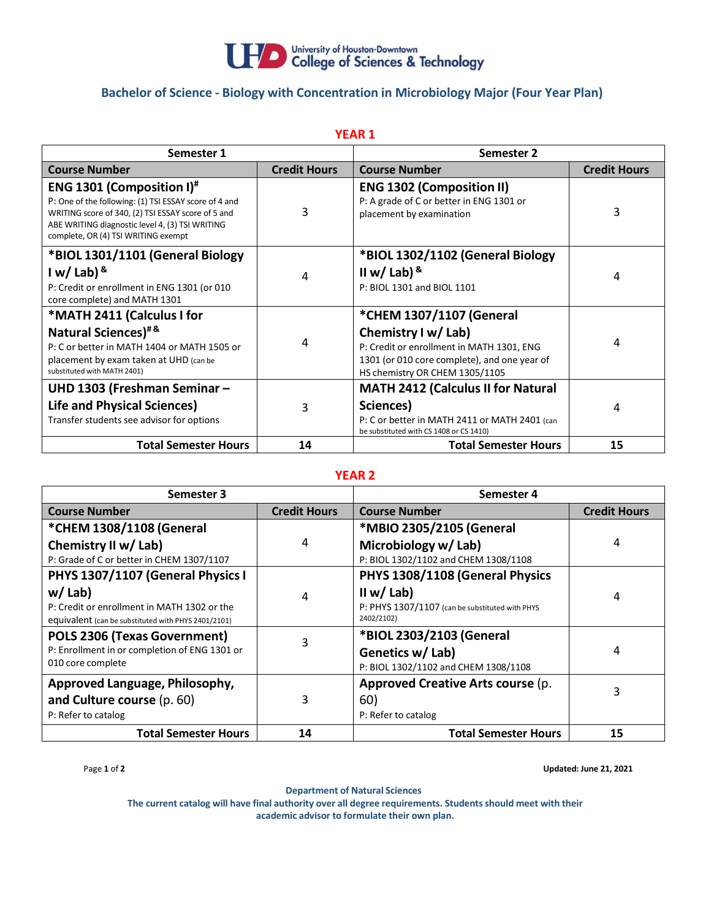

## **Bachelor of Science - Biology with Concentration in Microbiology Major (Four Year Plan)**

| <b>YEAR 1</b>                                                                                                                                                                                                                                         |                     |                                                                                                                                                                                |                     |  |  |  |
|-------------------------------------------------------------------------------------------------------------------------------------------------------------------------------------------------------------------------------------------------------|---------------------|--------------------------------------------------------------------------------------------------------------------------------------------------------------------------------|---------------------|--|--|--|
| Semester 1                                                                                                                                                                                                                                            |                     | Semester 2                                                                                                                                                                     |                     |  |  |  |
| <b>Course Number</b>                                                                                                                                                                                                                                  | <b>Credit Hours</b> | <b>Course Number</b>                                                                                                                                                           | <b>Credit Hours</b> |  |  |  |
| <b>ENG 1301 (Composition I)</b> <sup>#</sup><br>P: One of the following: (1) TSI ESSAY score of 4 and<br>WRITING score of 340, (2) TSI ESSAY score of 5 and<br>ABE WRITING diagnostic level 4, (3) TSI WRITING<br>complete, OR (4) TSI WRITING exempt | 3                   | <b>ENG 1302 (Composition II)</b><br>P: A grade of C or better in ENG 1301 or<br>placement by examination                                                                       | 3                   |  |  |  |
| *BIOL 1301/1101 (General Biology<br>I w/ Lab) $8$<br>P: Credit or enrollment in ENG 1301 (or 010<br>core complete) and MATH 1301                                                                                                                      | 4                   | *BIOL 1302/1102 (General Biology<br>II w/ Lab) $8$<br>P: BIOL 1301 and BIOL 1101                                                                                               | 4                   |  |  |  |
| *MATH 2411 (Calculus I for<br><b>Natural Sciences)</b> #&<br>P: C or better in MATH 1404 or MATH 1505 or<br>placement by exam taken at UHD (can be<br>substituted with MATH 2401)                                                                     | 4                   | *CHEM 1307/1107 (General<br>Chemistry I w/ Lab)<br>P: Credit or enrollment in MATH 1301, ENG<br>1301 (or 010 core complete), and one year of<br>HS chemistry OR CHEM 1305/1105 | 4                   |  |  |  |
| UHD 1303 (Freshman Seminar -<br>Life and Physical Sciences)<br>Transfer students see advisor for options                                                                                                                                              | 3                   | <b>MATH 2412 (Calculus II for Natural</b><br>Sciences)<br>P: C or better in MATH 2411 or MATH 2401 (can<br>be substituted with CS 1408 or CS 1410)                             | 4                   |  |  |  |
| <b>Total Semester Hours</b>                                                                                                                                                                                                                           | 14                  | <b>Total Semester Hours</b>                                                                                                                                                    | 15                  |  |  |  |

## **YEAR 2**

| Semester 3                                          |                     | Semester 4                                      |                     |
|-----------------------------------------------------|---------------------|-------------------------------------------------|---------------------|
| <b>Course Number</b>                                | <b>Credit Hours</b> | <b>Course Number</b>                            | <b>Credit Hours</b> |
| *CHEM 1308/1108 (General                            |                     | *MBIO 2305/2105 (General                        |                     |
| Chemistry II w/ Lab)                                | 4                   | Microbiology w/Lab)                             | 4                   |
| P: Grade of C or better in CHEM 1307/1107           |                     | P: BIOL 1302/1102 and CHEM 1308/1108            |                     |
| PHYS 1307/1107 (General Physics I                   |                     | PHYS 1308/1108 (General Physics                 |                     |
| $w /$ Lab)                                          | 4                   | II w/ Lab)                                      | 4                   |
| P: Credit or enrollment in MATH 1302 or the         |                     | P: PHYS 1307/1107 (can be substituted with PHYS |                     |
| equivalent (can be substituted with PHYS 2401/2101) |                     | 2402/2102)                                      |                     |
| POLS 2306 (Texas Government)                        | 3                   | *BIOL 2303/2103 (General                        |                     |
| P: Enrollment in or completion of ENG 1301 or       |                     | Genetics w/ Lab)                                | 4                   |
| 010 core complete                                   |                     | P: BIOL 1302/1102 and CHEM 1308/1108            |                     |
| Approved Language, Philosophy,                      |                     | Approved Creative Arts course (p.               |                     |
| and Culture course (p. 60)                          | 3                   | 60)                                             | 3                   |
| P: Refer to catalog                                 |                     | P: Refer to catalog                             |                     |
| <b>Total Semester Hours</b>                         | 14                  | <b>Total Semester Hours</b>                     | 15                  |

Page **1** of **2 Updated: June 21, 2021**

**Department of Natural Sciences**

**The current catalog will have final authority over all degree requirements. Studentsshould meet with their academic advisor to formulate their own plan.**